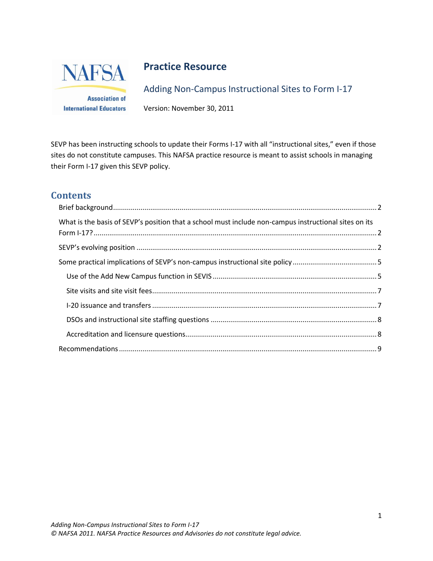

# **Practice Resource**

Adding Non-Campus Instructional Sites to Form I-17

**Association of International Educators** 

Version: November 30, 2011

SEVP has been instructing schools to update their Forms I-17 with all "instructional sites," even if those sites do not constitute campuses. This NAFSA practice resource is meant to assist schools in managing their Form I-17 given this SEVP policy.

# **Contents**

| What is the basis of SEVP's position that a school must include non-campus instructional sites on its |  |  |
|-------------------------------------------------------------------------------------------------------|--|--|
|                                                                                                       |  |  |
|                                                                                                       |  |  |
|                                                                                                       |  |  |
|                                                                                                       |  |  |
|                                                                                                       |  |  |
|                                                                                                       |  |  |
|                                                                                                       |  |  |
|                                                                                                       |  |  |
|                                                                                                       |  |  |
|                                                                                                       |  |  |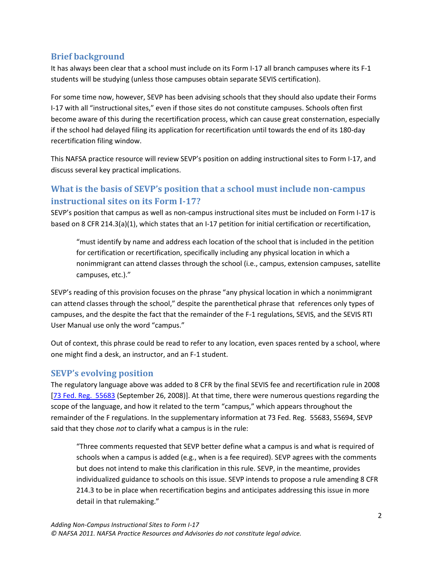## <span id="page-1-0"></span>**Brief background**

It has always been clear that a school must include on its Form I-17 all branch campuses where its F-1 students will be studying (unless those campuses obtain separate SEVIS certification).

For some time now, however, SEVP has been advising schools that they should also update their Forms I-17 with all "instructional sites," even if those sites do not constitute campuses. Schools often first become aware of this during the recertification process, which can cause great consternation, especially if the school had delayed filing its application for recertification until towards the end of its 180-day recertification filing window.

This NAFSA practice resource will review SEVP's position on adding instructional sites to Form I-17, and discuss several key practical implications.

## <span id="page-1-1"></span>**What is the basis of SEVP's position that a school must include non-campus instructional sites on its Form I-17?**

SEVP's position that campus as well as non-campus instructional sites must be included on Form I-17 is based on 8 CFR 214.3(a)(1), which states that an I-17 petition for initial certification or recertification,

"must identify by name and address each location of the school that is included in the petition for certification or recertification, specifically including any physical location in which a nonimmigrant can attend classes through the school (i.e., campus, extension campuses, satellite campuses, etc.)."

SEVP's reading of this provision focuses on the phrase "any physical location in which a nonimmigrant can attend classes through the school," despite the parenthetical phrase that references only types of campuses, and the despite the fact that the remainder of the F-1 regulations, SEVIS, and the SEVIS RTI User Manual use only the word "campus."

Out of context, this phrase could be read to refer to any location, even spaces rented by a school, where one might find a desk, an instructor, and an F-1 student.

## <span id="page-1-2"></span>**SEVP's evolving position**

The regulatory language above was added to 8 CFR by the final SEVIS fee and recertification rule in 2008 [\[73 Fed. Reg. 55683](http://www.nafsa.org/resourcelibrary/default.aspx?id=9430) (September 26, 2008)]. At that time, there were numerous questions regarding the scope of the language, and how it related to the term "campus," which appears throughout the remainder of the F regulations. In the supplementary information at 73 Fed. Reg. 55683, 55694, SEVP said that they chose *not* to clarify what a campus is in the rule:

"Three comments requested that SEVP better define what a campus is and what is required of schools when a campus is added (e.g., when is a fee required). SEVP agrees with the comments but does not intend to make this clarification in this rule. SEVP, in the meantime, provides individualized guidance to schools on this issue. SEVP intends to propose a rule amending 8 CFR 214.3 to be in place when recertification begins and anticipates addressing this issue in more detail in that rulemaking."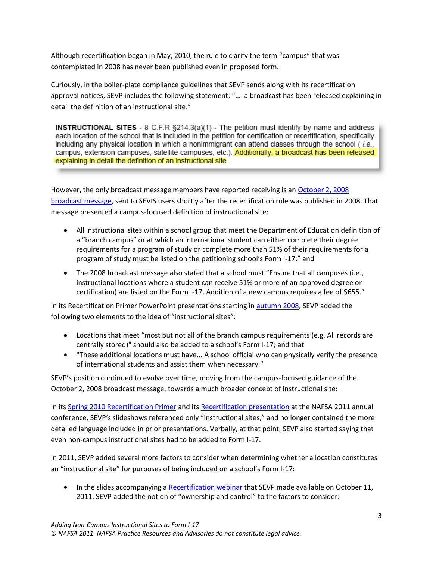Although recertification began in May, 2010, the rule to clarify the term "campus" that was contemplated in 2008 has never been published even in proposed form.

Curiously, in the boiler-plate compliance guidelines that SEVP sends along with its recertification approval notices, SEVP includes the following statement: "… a broadcast has been released explaining in detail the definition of an instructional site."

**INSTRUCTIONAL SITES** -  $8$  C.F.R  $\S214.3(a)(1)$  - The petition must identify by name and address each location of the school that is included in the petition for certification or recertification, specifically including any physical location in which a nonimmigrant can attend classes through the school (i.e., campus, extension campuses, satellite campuses, etc.). Additionally, a broadcast has been released explaining in detail the definition of an instructional site.

However, the only broadcast message members have reported receiving is an [October 2, 2008](http://www.nafsa.org/uploadedFiles/sevp_preliminary_guidance.pdf?n=9084)  [broadcast message,](http://www.nafsa.org/uploadedFiles/sevp_preliminary_guidance.pdf?n=9084) sent to SEVIS users shortly after the recertification rule was published in 2008. That message presented a campus-focused definition of instructional site:

- All instructional sites within a school group that meet the Department of Education definition of a "branch campus" or at which an international student can either complete their degree requirements for a program of study or complete more than 51% of their requirements for a program of study must be listed on the petitioning school's Form I-17;" and
- The 2008 broadcast message also stated that a school must "Ensure that all campuses (i.e., instructional locations where a student can receive 51% or more of an approved degree or certification) are listed on the Form I-17. Addition of a new campus requires a fee of \$655."

In its Recertification Primer PowerPoint presentations starting i[n autumn 2008,](http://www.ice.gov/doclib/sevis/pdf/recert_dso_presentation.pdf) SEVP added the following two elements to the idea of "instructional sites":

- Locations that meet "most but not all of the branch campus requirements (e.g. All records are centrally stored)" should also be added to a school's Form I-17; and that
- "These additional locations must have... A school official who can physically verify the presence of international students and assist them when necessary."

SEVP's position continued to evolve over time, moving from the campus-focused guidance of the October 2, 2008 broadcast message, towards a much broader concept of instructional site:

In its [Spring 2010 Recertification Primer](http://www.nafsa.org/resourcelibrary/default.aspx?id=19257) and its [Recertification presentation](http://www.nafsa.org/resourcelibrary/default.aspx?id=27216) at the NAFSA 2011 annual conference, SEVP's slideshows referenced only "instructional sites," and no longer contained the more detailed language included in prior presentations. Verbally, at that point, SEVP also started saying that even non-campus instructional sites had to be added to Form I-17.

In 2011, SEVP added several more factors to consider when determining whether a location constitutes an "instructional site" for purposes of being included on a school's Form I-17:

• In the slides accompanying [a Recertification webinar](http://www.nafsa.org/resourcelibrary/default.aspx?id=28989) that SEVP made available on October 11, 2011, SEVP added the notion of "ownership and control" to the factors to consider: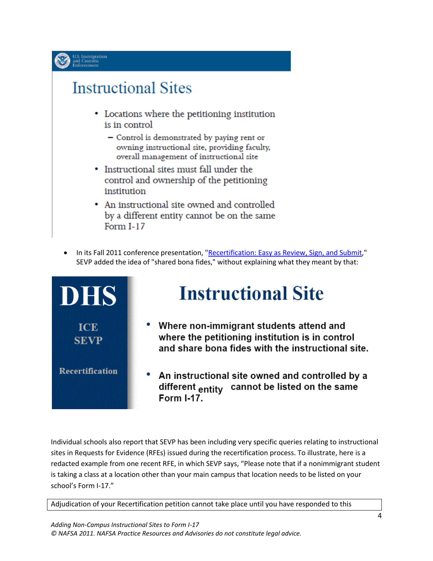

# **Instructional Sites**

- Locations where the petitioning institution is in control
	- Control is demonstrated by paying rent or owning instructional site, providing faculty, overall management of instructional site
- Instructional sites must fall under the control and ownership of the petitioning institution
- An instructional site owned and controlled by a different entity cannot be on the same Form  $I-17$
- In its Fall 2011 conference presentation, ["Recertification: Easy as Review, Sign, and Submit,](http://www.nafsa.org/resourcelibrary/default.aspx?id=29641)" SEVP added the idea of "shared bona fides," without explaining what they meant by that:



Individual schools also report that SEVP has been including very specific queries relating to instructional sites in Requests for Evidence (RFEs) issued during the recertification process. To illustrate, here is a redacted example from one recent RFE, in which SEVP says, "Please note that if a nonimmigrant student is taking a class at a location other than your main campus that location needs to be listed on your school's Form I‐17."

Adjudication of your Recertification petition cannot take place until you have responded to this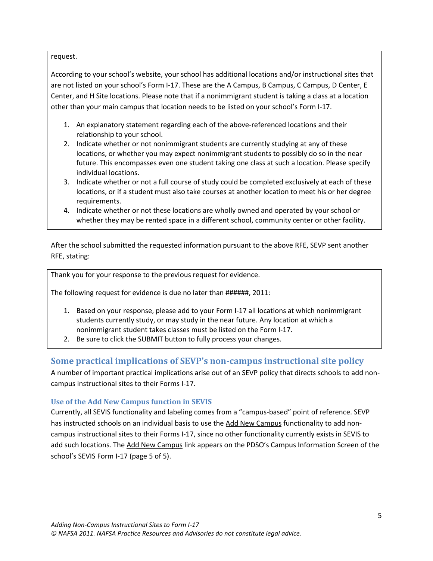#### request.

According to your school's website, your school has additional locations and/or instructional sites that are not listed on your school's Form I-17. These are the A Campus, B Campus, C Campus, D Center, E Center, and H Site locations. Please note that if a nonimmigrant student is taking a class at a location other than your main campus that location needs to be listed on your school's Form I‐17.

- 1. An explanatory statement regarding each of the above-referenced locations and their relationship to your school.
- 2. Indicate whether or not nonimmigrant students are currently studying at any of these locations, or whether you may expect nonimmigrant students to possibly do so in the near future. This encompasses even one student taking one class at such a location. Please specify individual locations.
- 3. Indicate whether or not a full course of study could be completed exclusively at each of these locations, or if a student must also take courses at another location to meet his or her degree requirements.
- 4. Indicate whether or not these locations are wholly owned and operated by your school or whether they may be rented space in a different school, community center or other facility.

After the school submitted the requested information pursuant to the above RFE, SEVP sent another RFE, stating:

Thank you for your response to the previous request for evidence.

The following request for evidence is due no later than ######, 2011:

- 1. Based on your response, please add to your Form I‐17 all locations at which nonimmigrant students currently study, or may study in the near future. Any location at which a nonimmigrant student takes classes must be listed on the Form I‐17.
- 2. Be sure to click the SUBMIT button to fully process your changes.

## <span id="page-4-0"></span>**Some practical implications of SEVP's non-campus instructional site policy**

A number of important practical implications arise out of an SEVP policy that directs schools to add noncampus instructional sites to their Forms I-17.

### <span id="page-4-1"></span>**Use of the Add New Campus function in SEVIS**

Currently, all SEVIS functionality and labeling comes from a "campus-based" point of reference. SEVP has instructed schools on an individual basis to use the Add New Campus functionality to add noncampus instructional sites to their Forms I-17, since no other functionality currently exists in SEVIS to add such locations. The Add New Campus link appears on the PDSO's Campus Information Screen of the school's SEVIS Form I-17 (page 5 of 5).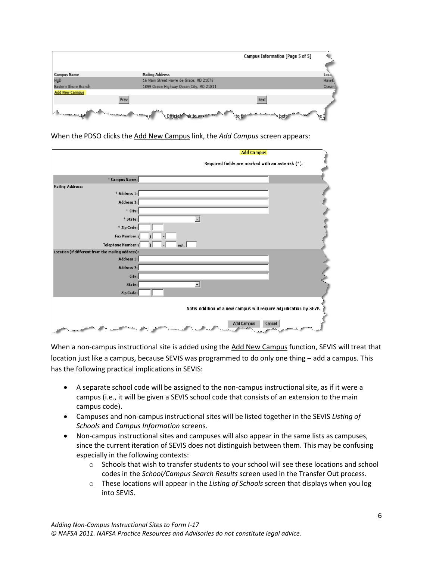

|                                                   | <b>Add Campus</b>                                                 |
|---------------------------------------------------|-------------------------------------------------------------------|
|                                                   | Required fields are marked with an asterisk (*).                  |
| * Campus Name:                                    |                                                                   |
| <b>Mailing Address:</b>                           |                                                                   |
| * Address 1:                                      |                                                                   |
| Address 2:                                        |                                                                   |
| * City:                                           |                                                                   |
| * State:                                          |                                                                   |
| * Zip Code:                                       |                                                                   |
| Fax Number: (                                     |                                                                   |
| Telephone Number: (                               | ext.                                                              |
| Location (if different from the mailing address): |                                                                   |
| Address 1:                                        |                                                                   |
| Address 2:                                        |                                                                   |
| City:                                             |                                                                   |
| State:                                            | $^\star$                                                          |
| Zip Code:                                         |                                                                   |
|                                                   | Note: Addition of a new campus will require adjudication by SEVP. |
| الشمعين                                           | Cancel<br><b>Add Campus</b>                                       |

When the PDSO clicks the Add New Campus link, the *Add Campus* screen appears:

When a non-campus instructional site is added using the Add New Campus function, SEVIS will treat that location just like a campus, because SEVIS was programmed to do only one thing – add a campus. This has the following practical implications in SEVIS:

- A separate school code will be assigned to the non-campus instructional site, as if it were a campus (i.e., it will be given a SEVIS school code that consists of an extension to the main campus code).
- Campuses and non-campus instructional sites will be listed together in the SEVIS *Listing of Schools* and *Campus Information* screens.
- Non-campus instructional sites and campuses will also appear in the same lists as campuses, since the current iteration of SEVIS does not distinguish between them. This may be confusing especially in the following contexts:
	- $\circ$  Schools that wish to transfer students to your school will see these locations and school codes in the *School/Campus Search Results* screen used in the Transfer Out process.
	- o These locations will appear in the *Listing of Schools* screen that displays when you log into SEVIS.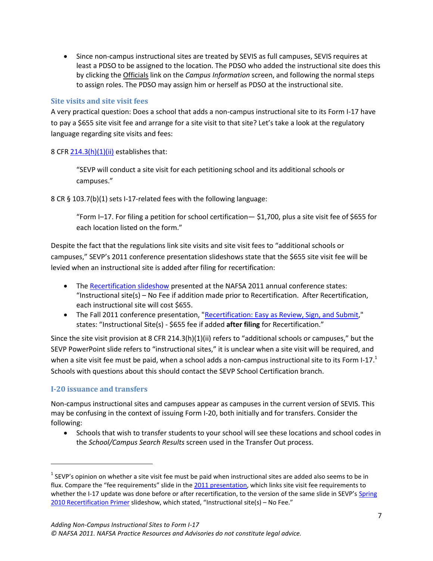Since non-campus instructional sites are treated by SEVIS as full campuses, SEVIS requires at least a PDSO to be assigned to the location. The PDSO who added the instructional site does this by clicking the Officials link on the *Campus Information* screen, and following the normal steps to assign roles. The PDSO may assign him or herself as PDSO at the instructional site.

#### <span id="page-6-0"></span>**Site visits and site visit fees**

A very practical question: Does a school that adds a non-campus instructional site to its Form I-17 have to pay a \$655 site visit fee and arrange for a site visit to that site? Let's take a look at the regulatory language regarding site visits and fees:

8 CF[R 214.3\(h\)\(1\)\(ii\)](http://www.nafsa.org/_/file/_/amresource/8cfr2143.htm#2143h1ii) establishes that:

"SEVP will conduct a site visit for each petitioning school and its additional schools or campuses."

8 CR § 103.7(b)(1) sets I-17-related fees with the following language:

"Form I–17. For filing a petition for school certification— \$1,700, plus a site visit fee of \$655 for each location listed on the form."

Despite the fact that the regulations link site visits and site visit fees to "additional schools or campuses," SEVP's 2011 conference presentation slideshows state that the \$655 site visit fee will be levied when an instructional site is added after filing for recertification:

- The [Recertification slideshow](http://www.nafsa.org/resourcelibrary/default.aspx?id=27216) presented at the NAFSA 2011 annual conference states: "Instructional site(s) – No Fee if addition made prior to Recertification. After Recertification, each instructional site will cost \$655.
- The Fall 2011 conference presentation, ["Recertification: Easy as Review, Sign, and Submit,](http://www.nafsa.org/resourcelibrary/default.aspx?id=29641)" states: "Instructional Site(s) - \$655 fee if added **after filing** for Recertification."

Since the site visit provision at 8 CFR 214.3(h)(1)(ii) refers to "additional schools or campuses," but the SEVP PowerPoint slide refers to "instructional sites," it is unclear when a site visit will be required, and when a site visit fee must be paid, when a school adds a non-campus instructional site to its Form  $1-17<sup>1</sup>$ Schools with questions about this should contact the SEVP School Certification branch.

#### <span id="page-6-1"></span>**I-20 issuance and transfers**

l

Non-campus instructional sites and campuses appear as campuses in the current version of SEVIS. This may be confusing in the context of issuing Form I-20, both initially and for transfers. Consider the following:

 Schools that wish to transfer students to your school will see these locations and school codes in the *School/Campus Search Results* screen used in the Transfer Out process.

 $^1$  SEVP's opinion on whether a site visit fee must be paid when instructional sites are added also seems to be in flux. Compare the "fee requirements" slide in th[e 2011 presentation,](http://www.nafsa.org/resourcelibrary/default.aspx?id=27216) which links site visit fee requirements to whether the I-17 update was done before or after recertification, to the version of the same slide in SEVP's Spring [2010 Recertification Primer](http://www.nafsa.org/resourcelibrary/default.aspx?id=19257) slideshow, which stated, "Instructional site(s) – No Fee."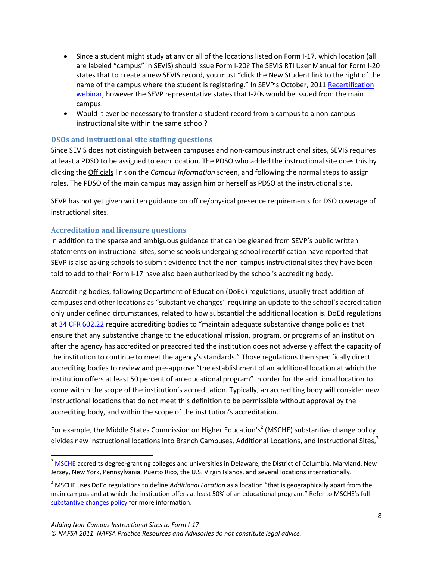- Since a student might study at any or all of the locations listed on Form I-17, which location (all are labeled "campus" in SEVIS) should issue Form I-20? The SEVIS RTI User Manual for Form I-20 states that to create a new SEVIS record, you must "click the New Student link to the right of the name of the campus where the student is registering." In SEVP's October, 2011 Recertification [webinar,](http://www.nafsa.org/resourcelibrary/default.aspx?id=28989) however the SEVP representative states that I-20s would be issued from the main campus.
- Would it ever be necessary to transfer a student record from a campus to a non-campus instructional site within the same school?

#### <span id="page-7-0"></span>**DSOs and instructional site staffing questions**

Since SEVIS does not distinguish between campuses and non-campus instructional sites, SEVIS requires at least a PDSO to be assigned to each location. The PDSO who added the instructional site does this by clicking the Officials link on the *Campus Information* screen, and following the normal steps to assign roles. The PDSO of the main campus may assign him or herself as PDSO at the instructional site.

SEVP has not yet given written guidance on office/physical presence requirements for DSO coverage of instructional sites.

#### <span id="page-7-1"></span>**Accreditation and licensure questions**

 $\overline{\phantom{a}}$ 

In addition to the sparse and ambiguous guidance that can be gleaned from SEVP's public written statements on instructional sites, some schools undergoing school recertification have reported that SEVP is also asking schools to submit evidence that the non-campus instructional sites they have been told to add to their Form I-17 have also been authorized by the school's accrediting body.

Accrediting bodies, following Department of Education (DoEd) regulations, usually treat addition of campuses and other locations as "substantive changes" requiring an update to the school's accreditation only under defined circumstances, related to how substantial the additional location is. DoEd regulations a[t 34 CFR 602.22](http://ecfr.gpoaccess.gov/cgi/t/text/text-idx?c=ecfr&sid=d90cf5fd3870d1edac897aab923c09af&rgn=div8&view=text&node=34:3.1.3.1.3.2.34.13&idno=34) require accrediting bodies to "maintain adequate substantive change policies that ensure that any substantive change to the educational mission, program, or programs of an institution after the agency has accredited or preaccredited the institution does not adversely affect the capacity of the institution to continue to meet the agency's standards." Those regulations then specifically direct accrediting bodies to review and pre-approve "the establishment of an additional location at which the institution offers at least 50 percent of an educational program" in order for the additional location to come within the scope of the institution's accreditation. Typically, an accrediting body will consider new instructional locations that do not meet this definition to be permissible without approval by the accrediting body, and within the scope of the institution's accreditation.

For example, the Middle States Commission on Higher Education's<sup>2</sup> (MSCHE) substantive change policy divides new instructional locations into Branch Campuses, Additional Locations, and Instructional Sites,<sup>3</sup>

<sup>&</sup>lt;sup>2</sup> [MSCHE](http://www.msche.org/) accredits degree-granting colleges and universities in Delaware, the District of Columbia, Maryland, New Jersey, New York, Pennsylvania, Puerto Rico, the U.S. Virgin Islands, and several locations internationally.

<sup>3</sup> MSCHE uses DoEd regulations to define *Additional Location* as a location "that is geographically apart from the main campus and at which the institution offers at least 50% of an educational program." Refer to MSCHE's full [substantive changes policy](http://www.msche.org/documents/6B---6-SubstantiveChange_4_.pdf) for more information.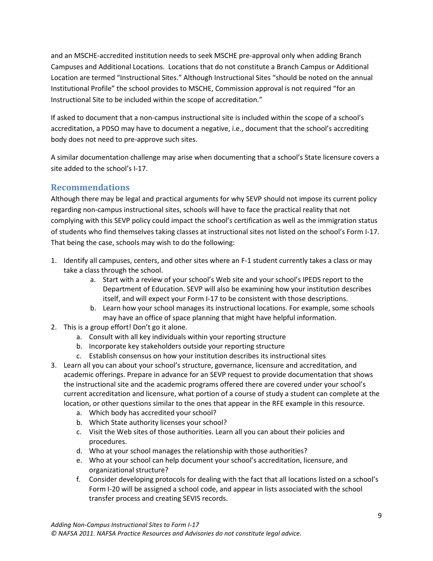and an MSCHE-accredited institution needs to seek MSCHE pre-approval only when adding Branch Campuses and Additional Locations. Locations that do not constitute a Branch Campus or Additional Location are termed "Instructional Sites." Although Instructional Sites "should be noted on the annual Institutional Profile" the school provides to MSCHE, Commission approval is not required "for an Instructional Site to be included within the scope of accreditation."

If asked to document that a non-campus instructional site is included within the scope of a school's accreditation, a PDSO may have to document a negative, i.e., document that the school's accrediting body does not need to pre-approve such sites.

A similar documentation challenge may arise when documenting that a school's State licensure covers a site added to the school's I-17.

## <span id="page-8-0"></span>**Recommendations**

Although there may be legal and practical arguments for why SEVP should not impose its current policy regarding non-campus instructional sites, schools will have to face the practical reality that not complying with this SEVP policy could impact the school's certification as well as the immigration status of students who find themselves taking classes at instructional sites not listed on the school's Form I-17. That being the case, schools may wish to do the following:

- 1. Identify all campuses, centers, and other sites where an F-1 student currently takes a class or may take a class through the school.
	- a. Start with a review of your school's Web site and your school's IPEDS report to the Department of Education. SEVP will also be examining how your institution describes itself, and will expect your Form I-17 to be consistent with those descriptions.
	- b. Learn how your school manages its instructional locations. For example, some schools may have an office of space planning that might have helpful information.
- 2. This is a group effort! Don't go it alone.
	- a. Consult with all key individuals within your reporting structure
	- b. Incorporate key stakeholders outside your reporting structure
	- c. Establish consensus on how your institution describes its instructional sites
- 3. Learn all you can about your school's structure, governance, licensure and accreditation, and academic offerings. Prepare in advance for an SEVP request to provide documentation that shows the instructional site and the academic programs offered there are covered under your school's current accreditation and licensure, what portion of a course of study a student can complete at the location, or other questions similar to the ones that appear in the RFE example in this resource.
	- a. Which body has accredited your school?
	- b. Which State authority licenses your school?
	- c. Visit the Web sites of those authorities. Learn all you can about their policies and procedures.
	- d. Who at your school manages the relationship with those authorities?
	- e. Who at your school can help document your school's accreditation, licensure, and organizational structure?
	- f. Consider developing protocols for dealing with the fact that all locations listed on a school's Form I-20 will be assigned a school code, and appear in lists associated with the school transfer process and creating SEVIS records.